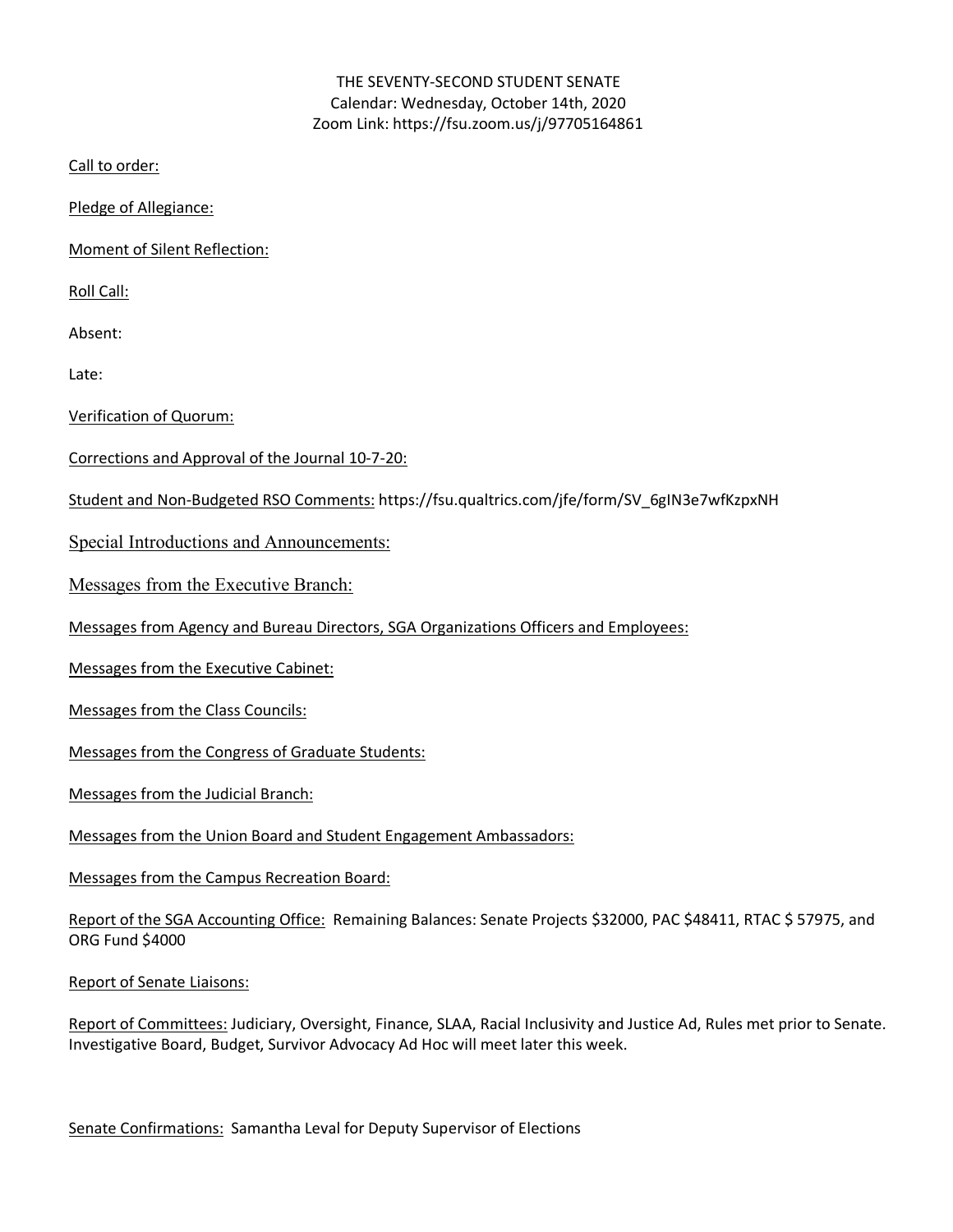### THE SEVENTY-SECOND STUDENT SENATE Calendar: Wednesday, October 14th, 2020 Zoom Link: https://fsu.zoom.us/j/97705164861

Call to order:

Pledge of Allegiance:

Moment of Silent Reflection:

Roll Call:

Absent:

Late:

Verification of Quorum:

- Corrections and Approval of the Journal 10-7-20:
- Student and Non-Budgeted RSO Comments: https://fsu.qualtrics.com/jfe/form/SV\_6gIN3e7wfKzpxNH

Special Introductions and Announcements:

Messages from the Executive Branch:

Messages from Agency and Bureau Directors, SGA Organizations Officers and Employees:

Messages from the Executive Cabinet:

Messages from the Class Councils:

Messages from the Congress of Graduate Students:

Messages from the Judicial Branch:

Messages from the Union Board and Student Engagement Ambassadors:

Messages from the Campus Recreation Board:

Report of the SGA Accounting Office: Remaining Balances: Senate Projects \$32000, PAC \$48411, RTAC \$ 57975, and ORG Fund \$4000

Report of Senate Liaisons:

Report of Committees: Judiciary, Oversight, Finance, SLAA, Racial Inclusivity and Justice Ad, Rules met prior to Senate. Investigative Board, Budget, Survivor Advocacy Ad Hoc will meet later this week.

Senate Confirmations: Samantha Leval for Deputy Supervisor of Elections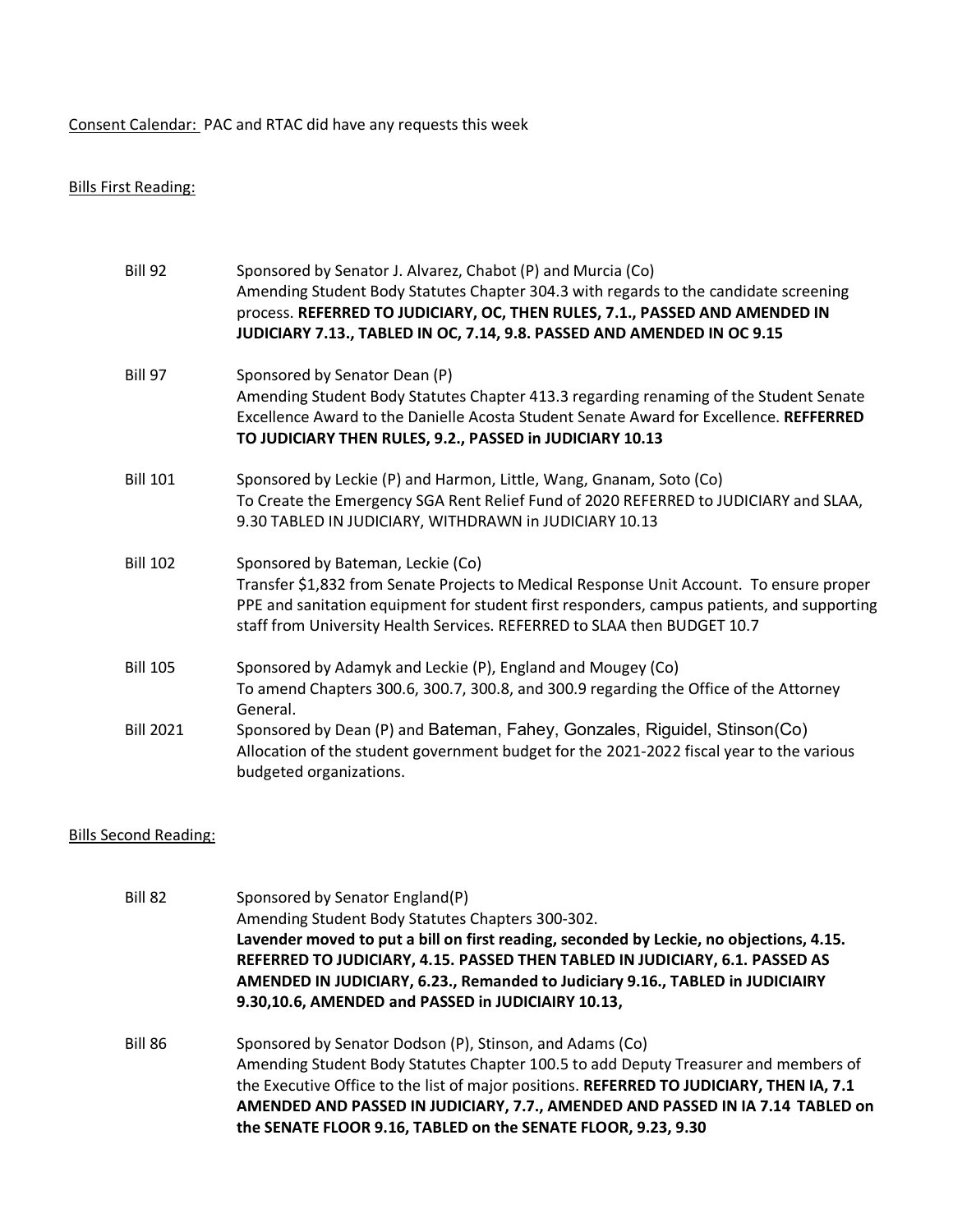Consent Calendar: PAC and RTAC did have any requests this week

## Bills First Reading:

| <b>Bill 92</b>   | Sponsored by Senator J. Alvarez, Chabot (P) and Murcia (Co)<br>Amending Student Body Statutes Chapter 304.3 with regards to the candidate screening<br>process. REFERRED TO JUDICIARY, OC, THEN RULES, 7.1., PASSED AND AMENDED IN<br>JUDICIARY 7.13., TABLED IN OC, 7.14, 9.8. PASSED AND AMENDED IN OC 9.15 |
|------------------|---------------------------------------------------------------------------------------------------------------------------------------------------------------------------------------------------------------------------------------------------------------------------------------------------------------|
| <b>Bill 97</b>   | Sponsored by Senator Dean (P)<br>Amending Student Body Statutes Chapter 413.3 regarding renaming of the Student Senate<br>Excellence Award to the Danielle Acosta Student Senate Award for Excellence. REFFERRED<br>TO JUDICIARY THEN RULES, 9.2., PASSED in JUDICIARY 10.13                                  |
| <b>Bill 101</b>  | Sponsored by Leckie (P) and Harmon, Little, Wang, Gnanam, Soto (Co)<br>To Create the Emergency SGA Rent Relief Fund of 2020 REFERRED to JUDICIARY and SLAA,<br>9.30 TABLED IN JUDICIARY, WITHDRAWN in JUDICIARY 10.13                                                                                         |
| <b>Bill 102</b>  | Sponsored by Bateman, Leckie (Co)<br>Transfer \$1,832 from Senate Projects to Medical Response Unit Account. To ensure proper<br>PPE and sanitation equipment for student first responders, campus patients, and supporting<br>staff from University Health Services. REFERRED to SLAA then BUDGET 10.7       |
| <b>Bill 105</b>  | Sponsored by Adamyk and Leckie (P), England and Mougey (Co)<br>To amend Chapters 300.6, 300.7, 300.8, and 300.9 regarding the Office of the Attorney<br>General.                                                                                                                                              |
| <b>Bill 2021</b> | Sponsored by Dean (P) and Bateman, Fahey, Gonzales, Riguidel, Stinson(Co)<br>Allocation of the student government budget for the 2021-2022 fiscal year to the various<br>budgeted organizations.                                                                                                              |

# Bills Second Reading:

| Bill 82 | Sponsored by Senator England(P)<br>Amending Student Body Statutes Chapters 300-302.<br>Lavender moved to put a bill on first reading, seconded by Leckie, no objections, 4.15.<br>REFERRED TO JUDICIARY, 4.15. PASSED THEN TABLED IN JUDICIARY, 6.1. PASSED AS<br>AMENDED IN JUDICIARY, 6.23., Remanded to Judiciary 9.16., TABLED in JUDICIAIRY<br>9.30,10.6, AMENDED and PASSED in JUDICIAIRY 10.13, |
|---------|--------------------------------------------------------------------------------------------------------------------------------------------------------------------------------------------------------------------------------------------------------------------------------------------------------------------------------------------------------------------------------------------------------|
| Bill 86 | Sponsored by Senator Dodson (P), Stinson, and Adams (Co)<br>Amending Student Body Statutes Chapter 100.5 to add Deputy Treasurer and members of<br>the Executive Office to the list of major positions. REFERRED TO JUDICIARY, THEN IA, 7.1<br>AMENDED AND PASSED IN JUDICIARY, 7.7., AMENDED AND PASSED IN IA 7.14 TABLED on<br>the SENATE FLOOR 9.16, TABLED on the SENATE FLOOR, 9.23, 9.30         |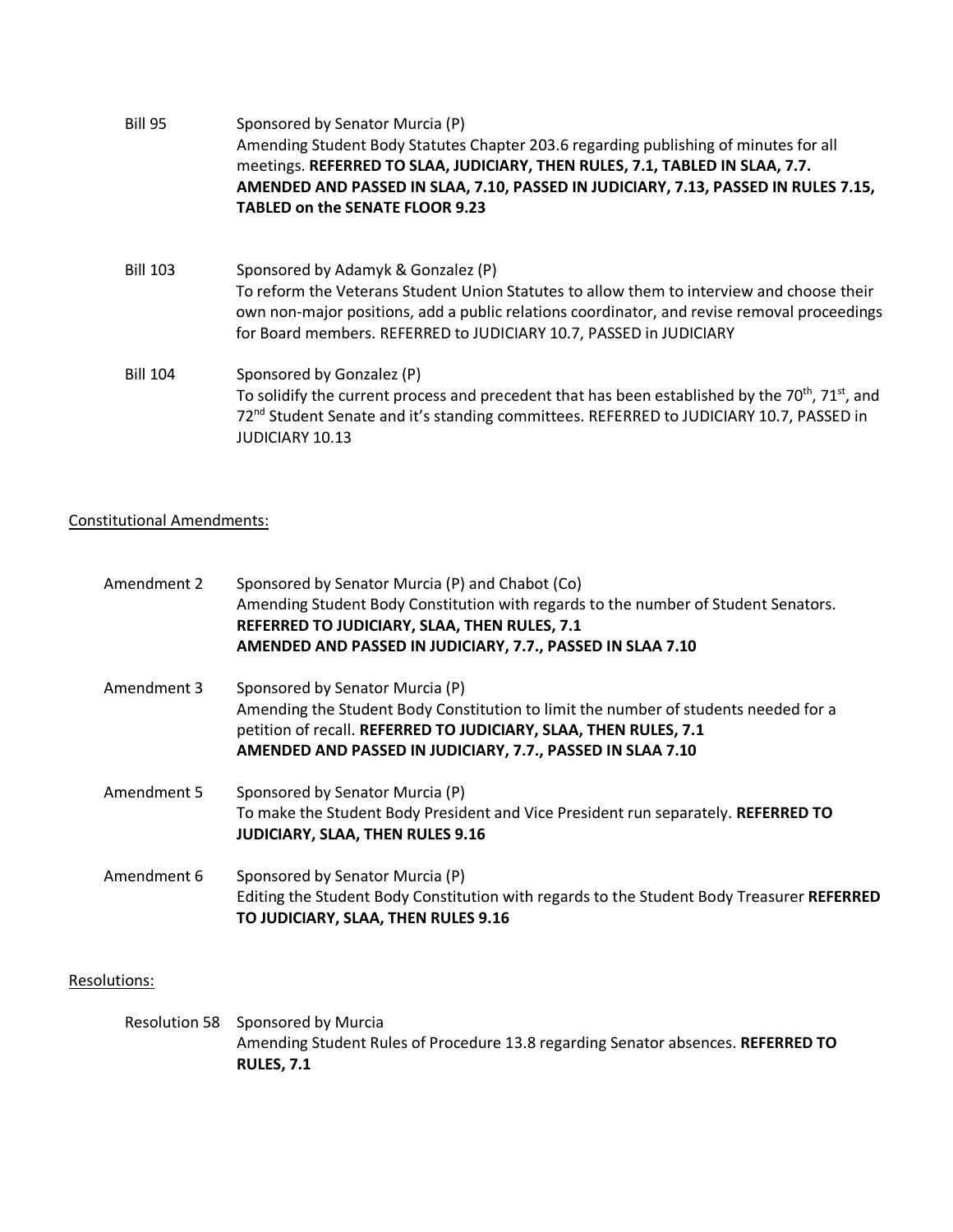| Bill 95         | Sponsored by Senator Murcia (P)<br>Amending Student Body Statutes Chapter 203.6 regarding publishing of minutes for all<br>meetings. REFERRED TO SLAA, JUDICIARY, THEN RULES, 7.1, TABLED IN SLAA, 7.7.<br>AMENDED AND PASSED IN SLAA, 7.10, PASSED IN JUDICIARY, 7.13, PASSED IN RULES 7.15,<br><b>TABLED on the SENATE FLOOR 9.23</b> |
|-----------------|-----------------------------------------------------------------------------------------------------------------------------------------------------------------------------------------------------------------------------------------------------------------------------------------------------------------------------------------|
| <b>Bill 103</b> | Sponsored by Adamyk & Gonzalez (P)<br>To reform the Veterans Student Union Statutes to allow them to interview and choose their<br>own non-major positions, add a public relations coordinator, and revise removal proceedings<br>for Board members. REFERRED to JUDICIARY 10.7, PASSED in JUDICIARY                                    |
| <b>Bill 104</b> | Sponsored by Gonzalez (P)<br>To solidify the current process and precedent that has been established by the 70 <sup>th</sup> , 71 <sup>st</sup> , and<br>72 <sup>nd</sup> Student Senate and it's standing committees. REFERRED to JUDICIARY 10.7, PASSED in<br><b>JUDICIARY 10.13</b>                                                  |

## Constitutional Amendments:

| Amendment 2 | Sponsored by Senator Murcia (P) and Chabot (Co)<br>Amending Student Body Constitution with regards to the number of Student Senators.<br>REFERRED TO JUDICIARY, SLAA, THEN RULES, 7.1<br>AMENDED AND PASSED IN JUDICIARY, 7.7., PASSED IN SLAA 7.10      |
|-------------|----------------------------------------------------------------------------------------------------------------------------------------------------------------------------------------------------------------------------------------------------------|
| Amendment 3 | Sponsored by Senator Murcia (P)<br>Amending the Student Body Constitution to limit the number of students needed for a<br>petition of recall. REFERRED TO JUDICIARY, SLAA, THEN RULES, 7.1<br>AMENDED AND PASSED IN JUDICIARY, 7.7., PASSED IN SLAA 7.10 |
| Amendment 5 | Sponsored by Senator Murcia (P)<br>To make the Student Body President and Vice President run separately. REFERRED TO<br>JUDICIARY, SLAA, THEN RULES 9.16                                                                                                 |
| Amendment 6 | Sponsored by Senator Murcia (P)<br>Editing the Student Body Constitution with regards to the Student Body Treasurer REFERRED<br>TO JUDICIARY, SLAA, THEN RULES 9.16                                                                                      |

# Resolutions:

Resolution 58 Sponsored by Murcia Amending Student Rules of Procedure 13.8 regarding Senator absences. **REFERRED TO RULES, 7.1**